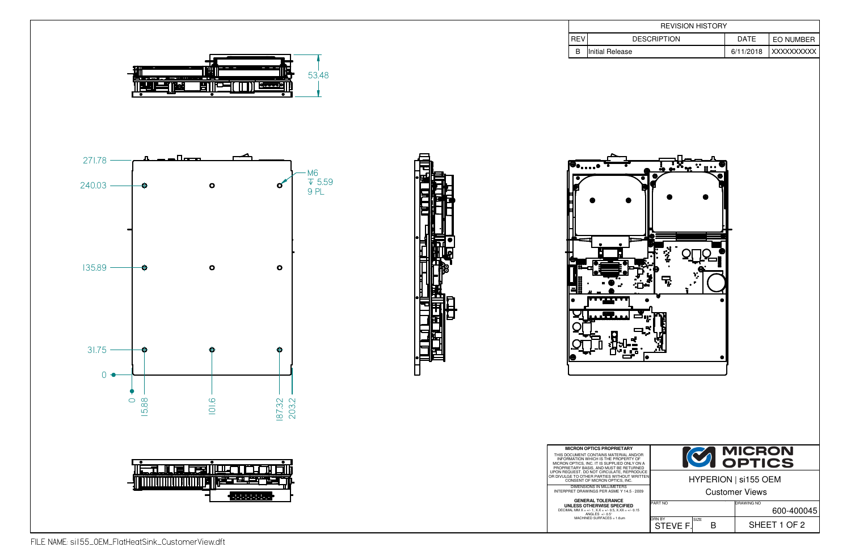

B